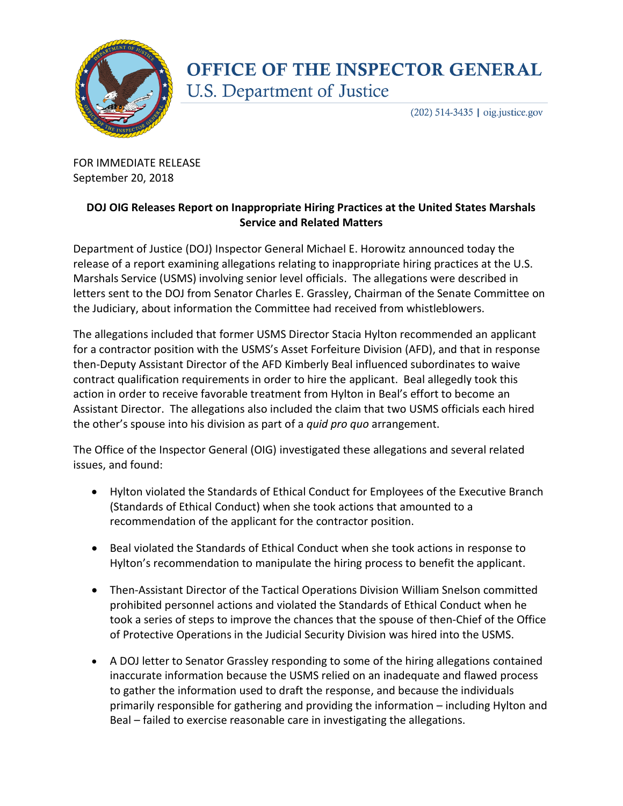

## **OFFICE OF THE INSPECTOR GENERAL U.S. Department of Justice**

 $(202)$  514-3435 | oig.justice.gov

FOR IMMEDIATE RELEASE September 20, 2018

## **DOJ OIG Releases Report on Inappropriate Hiring Practices at the United States Marshals Service and Related Matters**

Department of Justice (DOJ) Inspector General Michael E. Horowitz announced today the release of a report examining allegations relating to inappropriate hiring practices at the U.S. Marshals Service (USMS) involving senior level officials. The allegations were described in letters sent to the DOJ from Senator Charles E. Grassley, Chairman of the Senate Committee on the Judiciary, about information the Committee had received from whistleblowers.

The allegations included that former USMS Director Stacia Hylton recommended an applicant for a contractor position with the USMS's Asset Forfeiture Division (AFD), and that in response then-Deputy Assistant Director of the AFD Kimberly Beal influenced subordinates to waive contract qualification requirements in order to hire the applicant. Beal allegedly took this action in order to receive favorable treatment from Hylton in Beal's effort to become an Assistant Director. The allegations also included the claim that two USMS officials each hired the other's spouse into his division as part of a *quid pro quo* arrangement.

The Office of the Inspector General (OIG) investigated these allegations and several related issues, and found:

- Hylton violated the Standards of Ethical Conduct for Employees of the Executive Branch (Standards of Ethical Conduct) when she took actions that amounted to a recommendation of the applicant for the contractor position.
- Beal violated the Standards of Ethical Conduct when she took actions in response to Hylton's recommendation to manipulate the hiring process to benefit the applicant.
- Then-Assistant Director of the Tactical Operations Division William Snelson committed prohibited personnel actions and violated the Standards of Ethical Conduct when he took a series of steps to improve the chances that the spouse of then-Chief of the Office of Protective Operations in the Judicial Security Division was hired into the USMS.
- A DOJ letter to Senator Grassley responding to some of the hiring allegations contained inaccurate information because the USMS relied on an inadequate and flawed process to gather the information used to draft the response, and because the individuals primarily responsible for gathering and providing the information – including Hylton and Beal – failed to exercise reasonable care in investigating the allegations.